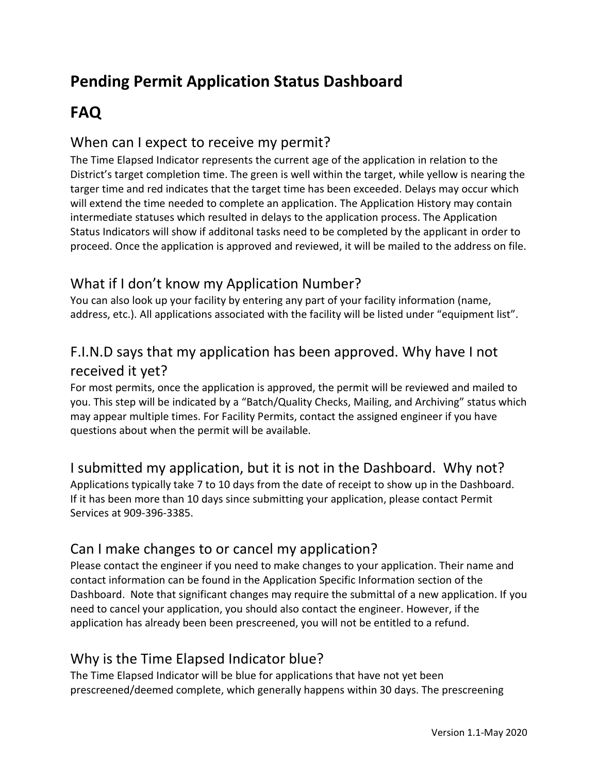# **Pending Permit Application Status Dashboard**

# **FAQ**

### When can I expect to receive my permit?

The Time Elapsed Indicator represents the current age of the application in relation to the District's target completion time. The green is well within the target, while yellow is nearing the targer time and red indicates that the target time has been exceeded. Delays may occur which will extend the time needed to complete an application. The Application History may contain intermediate statuses which resulted in delays to the application process. The Application Status Indicators will show if additonal tasks need to be completed by the applicant in order to proceed. Once the application is approved and reviewed, it will be mailed to the address on file.

## What if I don't know my Application Number?

You can also look up your facility by entering any part of your facility information (name, address, etc.). All applications associated with the facility will be listed under "equipment list".

## F.I.N.D says that my application has been approved. Why have I not received it yet?

For most permits, once the application is approved, the permit will be reviewed and mailed to you. This step will be indicated by a "Batch/Quality Checks, Mailing, and Archiving" status which may appear multiple times. For Facility Permits, contact the assigned engineer if you have questions about when the permit will be available.

#### I submitted my application, but it is not in the Dashboard. Why not?

Applications typically take 7 to 10 days from the date of receipt to show up in the Dashboard. If it has been more than 10 days since submitting your application, please contact Permit Services at 909-396-3385.

## Can I make changes to or cancel my application?

Please contact the engineer if you need to make changes to your application. Their name and contact information can be found in the Application Specific Information section of the Dashboard. Note that significant changes may require the submittal of a new application. If you need to cancel your application, you should also contact the engineer. However, if the application has already been been prescreened, you will not be entitled to a refund.

## Why is the Time Elapsed Indicator blue?

The Time Elapsed Indicator will be blue for applications that have not yet been prescreened/deemed complete, which generally happens within 30 days. The prescreening